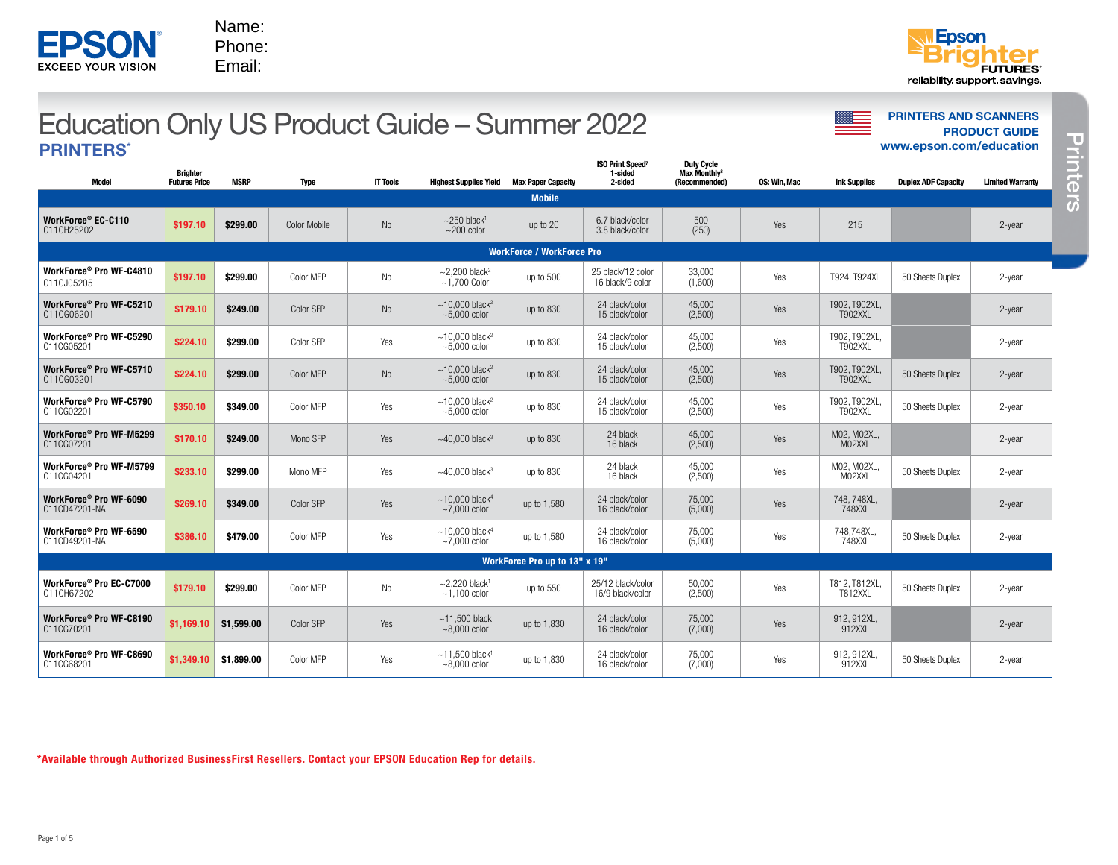| <b>PRINTERS*</b>                        |                                         |             |                     |                 |                                                       |                           |                                               |                                                                |              |                                 | www.epson.com/education    |                         |
|-----------------------------------------|-----------------------------------------|-------------|---------------------|-----------------|-------------------------------------------------------|---------------------------|-----------------------------------------------|----------------------------------------------------------------|--------------|---------------------------------|----------------------------|-------------------------|
| <b>Model</b>                            | <b>Brighter</b><br><b>Futures Price</b> | <b>MSRP</b> | <b>Type</b>         | <b>IT Tools</b> | <b>Highest Supplies Yield</b>                         | <b>Max Paper Capacity</b> | <b>ISO Print Speed?</b><br>1-sided<br>2-sided | <b>Duty Cycle</b><br>Max Monthly <sup>8</sup><br>(Recommended) | OS: Win, Mac | <b>Ink Supplies</b>             | <b>Duplex ADF Capacity</b> | <b>Limited Warranty</b> |
|                                         |                                         |             |                     |                 |                                                       | <b>Mobile</b>             |                                               |                                                                |              |                                 |                            |                         |
| WorkForce® EC-C110<br>C11CH25202        | \$197.10                                | \$299.00    | <b>Color Mobile</b> | <b>No</b>       | $\sim$ 250 black <sup>1</sup><br>$~200$ color         | up to 20                  | 6.7 black/color<br>3.8 black/color            | 500<br>(250)                                                   | Yes          | 215                             |                            | 2-year                  |
|                                         | <b>WorkForce / WorkForce Pro</b>        |             |                     |                 |                                                       |                           |                                               |                                                                |              |                                 |                            |                         |
| WorkForce® Pro WF-C4810<br>C11CJ05205   | \$197.10                                | \$299.00    | Color MFP           | N <sub>0</sub>  | $\sim$ 2,200 black <sup>2</sup><br>$~1,700$ Color     | up to 500                 | 25 black/12 color<br>16 black/9 color         | 33,000<br>(1,600)                                              | Yes          | T924. T924XL                    | 50 Sheets Duplex           | 2-year                  |
| WorkForce® Pro WF-C5210<br>C11CG06201   | \$179.10                                | \$249.00    | Color SFP           | No              | $~10,000$ black <sup>2</sup><br>$\sim 5.000$ color    | up to 830                 | 24 black/color<br>15 black/color              | 45,000<br>(2,500)                                              | Yes          | T902, T902XL,<br>T902XXL        |                            | 2-year                  |
| WorkForce® Pro WF-C5290<br>C11CG05201   | \$224.10                                | \$299.00    | Color SFP           | Yes             | $~10,000$ black <sup>2</sup><br>$~5.000$ color        | up to 830                 | 24 black/color<br>15 black/color              | 45,000<br>(2,500)                                              | Yes          | T902, T902XL<br><b>T902XXL</b>  |                            | 2-year                  |
| WorkForce® Pro WF-C5710<br>C11CG03201   | \$224.10                                | \$299.00    | Color MFP           | No              | $~10,000$ black <sup>2</sup><br>$\approx 5.000$ color | up to 830                 | 24 black/color<br>15 black/color              | 45,000<br>(2,500)                                              | Yes          | T902, T902XL,<br><b>T902XXL</b> | 50 Sheets Duplex           | 2-year                  |
| WorkForce® Pro WF-C5790<br>C11CG02201   | \$350.10                                | \$349.00    | Color MFP           | Yes             | $~10,000$ black <sup>2</sup><br>$~5.000$ color        | up to 830                 | 24 black/color<br>15 black/color              | 45,000<br>(2,500)                                              | Yes          | T902, T902XL<br><b>T902XXL</b>  | 50 Sheets Duplex           | 2-year                  |
| WorkForce® Pro WF-M5299<br>C11CG07201   | \$170.10                                | \$249.00    | Mono SFP            | Yes             | $~10,000$ black <sup>3</sup>                          | up to 830                 | 24 black<br>16 black                          | 45,000<br>(2,500)                                              | Yes          | M02. M02XL.<br>M02XXL           |                            | 2-year                  |
| WorkForce® Pro WF-M5799<br>C11CG04201   | \$233.10                                | \$299.00    | Mono MFP            | Yes             | $~10,000$ black <sup>3</sup>                          | up to 830                 | 24 black<br>16 black                          | 45,000<br>(2,500)                                              | Yes          | M02, M02XL,<br>M02XXL           | 50 Sheets Duplex           | 2-year                  |
| WorkForce® Pro WF-6090<br>C11CD47201-NA | \$269.10                                | \$349.00    | Color SFP           | Yes             | $~10,000$ black <sup>4</sup><br>$~1$ ,000 color       | up to 1,580               | 24 black/color<br>16 black/color              | 75,000<br>(5,000)                                              | Yes          | 748.748XL.<br>748XXL            |                            | 2-year                  |
| WorkForce® Pro WF-6590<br>C11CD49201-NA | \$386.10                                | \$479.00    | Color MFP           | Yes             | $~10,000$ black <sup>4</sup><br>$~1$ ,000 color       | up to 1,580               | 24 black/color<br>16 black/color              | 75,000<br>(5,000)                                              | Yes          | 748,748XL,<br>748XXL            | 50 Sheets Duplex           | 2-year                  |
| WorkForce Pro up to 13" x 19"           |                                         |             |                     |                 |                                                       |                           |                                               |                                                                |              |                                 |                            |                         |
| WorkForce® Pro EC-C7000<br>C11CH67202   | \$179.10                                | \$299.00    | Color MFP           | No              | $\sim$ 2.220 black <sup>1</sup><br>$~1,100$ color     | up to 550                 | 25/12 black/color<br>16/9 black/color         | 50,000<br>(2,500)                                              | Yes          | T812, T812XL<br><b>T812XXL</b>  | 50 Sheets Duplex           | 2-year                  |
| WorkForce® Pro WF-C8190<br>C11CG70201   | \$1,169.10                              | \$1,599.00  | Color SFP           | Yes             | $~11,500$ black<br>$~1000$ color                      | up to 1,830               | 24 black/color<br>16 black/color              | 75,000<br>(7,000)                                              | Yes          | 912, 912XL,<br>912XXL           |                            | 2-year                  |
| WorkForce® Pro WF-C8690<br>C11CG68201   | \$1,349.10                              | \$1,899.00  | Color MFP           | Yes             | $~11,500$ black<br>$~-8,000$ color                    | up to 1,830               | 24 black/color<br>16 black/color              | 75,000<br>(7,000)                                              | Yes          | 912, 912XL,<br>912XXL           | 50 Sheets Duplex           | 2-year                  |

# **PRINTERS AND SCANNERS CONNUS PRODUCT GUIDE – SUMMER 2022** PRINTERS AND SCANNERS PRINTERS\*

\*Available through Authorized BusinessFirst Resellers. Contact your EPSON Education Rep for details.



**Printers** Printers

Phone: Email:

Name:

**EPSO EXCEED YOUR VISION**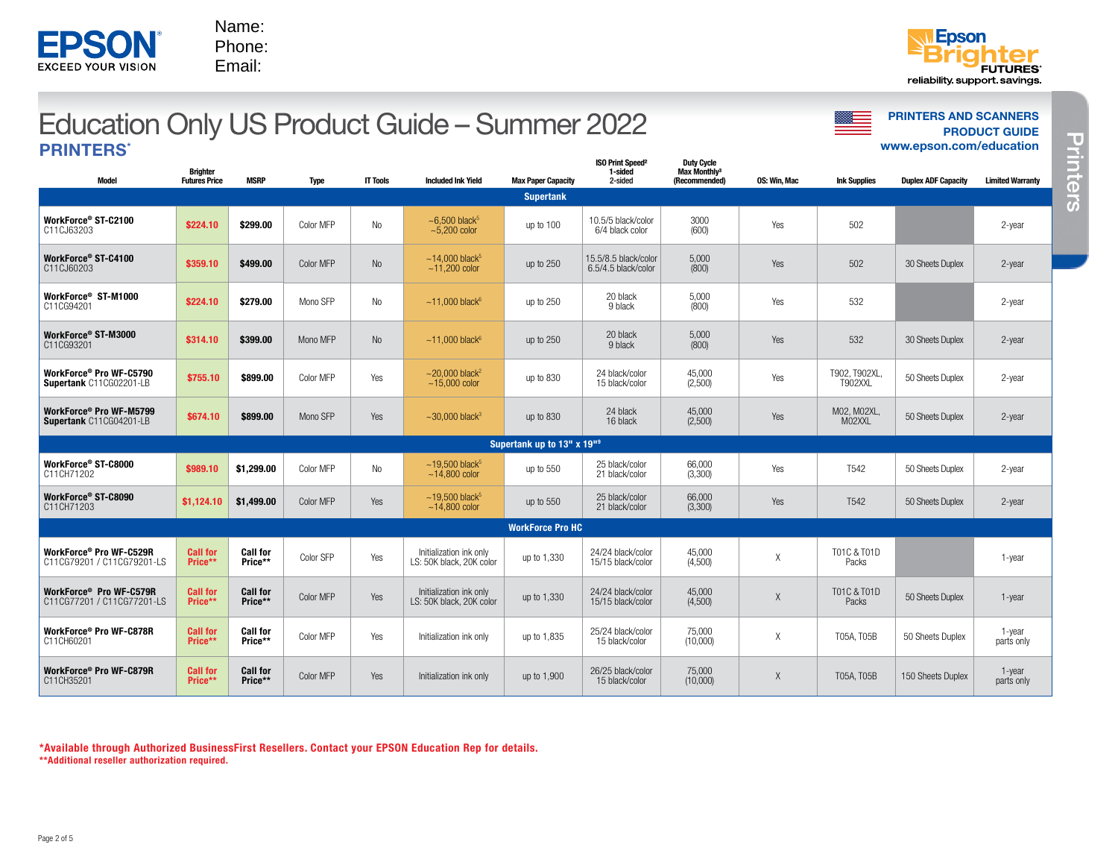## **PRINTERS AND SCANNERS PRINTERS AND SCANNERS PRINTERS AND SCANNERS** PRINTERS\*

| Model                                                 | <b>Brighter</b><br><b>Futures Price</b> | <b>MSRP</b>                | <b>Type</b> | <b>IT Tools</b> | <b>Included Ink Yield</b>                                | <b>Max Paper Capacity</b>              | <b>ISO Print Speed<sup>2</sup></b><br>1-sided<br>2-sided | <b>Duty Cycle</b><br>Max Monthly <sup>3</sup><br>(Recommended) | OS: Win. Mac | <b>Ink Supplies</b>      | <b>Duplex ADF Capacity</b> | <b>Limited Warranty</b> |
|-------------------------------------------------------|-----------------------------------------|----------------------------|-------------|-----------------|----------------------------------------------------------|----------------------------------------|----------------------------------------------------------|----------------------------------------------------------------|--------------|--------------------------|----------------------------|-------------------------|
|                                                       |                                         |                            |             |                 |                                                          | <b>Supertank</b>                       |                                                          |                                                                |              |                          |                            |                         |
| WorkForce® ST-C2100<br>C11CJ63203                     | \$224.10                                | \$299.00                   | Color MFP   | No              | $\sim$ 6,500 black <sup>5</sup><br>$\approx$ 5.200 color | up to 100                              | 10.5/5 black/color<br>6/4 black color                    | 3000<br>(600)                                                  | Yes          | 502                      |                            | $2$ -year               |
| WorkForce® ST-C4100<br>C11CJ60203                     | \$359.10                                | \$499.00                   | Color MFP   | No              | $~14,000$ black <sup>5</sup><br>$~11.200$ color          | up to 250                              | 15.5/8.5 black/color<br>6.5/4.5 black/color              | 5,000<br>(800)                                                 | Yes          | 502                      | 30 Sheets Duplex           | $2$ -year               |
| WorkForce® ST-M1000<br>C11CG94201                     | \$224.10                                | \$279.00                   | Mono SFP    | No              | $~11,000$ black <sup>6</sup>                             | up to 250                              | 20 black<br>9 black                                      | 5,000<br>(800)                                                 | Yes          | 532                      |                            | $2$ -year               |
| WorkForce® ST-M3000<br>C11CG93201                     | \$314.10                                | \$399.00                   | Mono MFP    | No              | $~11,000$ black <sup>6</sup>                             | up to 250                              | 20 black<br>9 black                                      | 5,000<br>(800)                                                 | Yes          | 532                      | 30 Sheets Duplex           | $2$ -year               |
| WorkForce® Pro WF-C5790<br>Supertank C11CG02201-LB    | \$755.10                                | \$899.00                   | Color MFP   | Yes             | $~20.000$ black <sup>2</sup><br>$~15,000$ color          | up to 830                              | 24 black/color<br>15 black/color                         | 45.000<br>(2,500)                                              | Yes          | T902, T902XL,<br>T902XXL | 50 Sheets Duplex           | $2$ -year               |
| WorkForce® Pro WF-M5799<br>Supertank C11CG04201-LB    | \$674.10                                | \$899.00                   | Mono SFP    | Yes             | $\sim$ 30.000 black <sup>3</sup>                         | up to 830                              | 24 black<br>16 black                                     | 45,000<br>(2,500)                                              | Yes          | M02, M02XL,<br>M02XXL    | 50 Sheets Duplex           | $2$ -year               |
|                                                       |                                         |                            |             |                 |                                                          | Supertank up to 13" x 19" <sup>9</sup> |                                                          |                                                                |              |                          |                            |                         |
| WorkForce® ST-C8000<br>C11CH71202                     | \$989.10                                | \$1.299.00                 | Color MFP   | No              | $~19,500$ black <sup>5</sup><br>$~14,800$ color          | up to 550                              | 25 black/color<br>21 black/color                         | 66,000<br>(3,300)                                              | Yes          | T <sub>542</sub>         | 50 Sheets Duplex           | $2$ -year               |
| WorkForce® ST-C8090<br>C11CH71203                     | \$1.124.10                              | \$1,499.00                 | Color MFP   | Yes             | $~19,500$ black <sup>5</sup><br>$~14.800$ color          | up to 550                              | 25 black/color<br>21 black/color                         | 66,000<br>(3,300)                                              | Yes          | T <sub>542</sub>         | 50 Sheets Duplex           | $2$ -year               |
|                                                       |                                         |                            |             |                 |                                                          | <b>WorkForce Pro HC</b>                |                                                          |                                                                |              |                          |                            |                         |
| WorkForce® Pro WF-C529R<br>C11CG79201 / C11CG79201-LS | <b>Call for</b><br>Price**              | <b>Call for</b><br>Price** | Color SFP   | Yes             | Initialization ink only<br>LS: 50K black, 20K color      | up to 1,330                            | 24/24 black/color<br>15/15 black/color                   | 45,000<br>(4,500)                                              | Χ            | T01C & T01D<br>Packs     |                            | 1-year                  |
| WorkForce® Pro WF-C579R<br>C11CG77201 / C11CG77201-LS | <b>Call for</b><br>Price**              | <b>Call for</b><br>Price** | Color MFP   | Yes             | Initialization ink only<br>LS: 50K black, 20K color      | up to 1,330                            | 24/24 black/color<br>15/15 black/color                   | 45.000<br>(4,500)                                              | X            | T01C & T01D<br>Packs     | 50 Sheets Duplex           | $1$ -year               |
| WorkForce® Pro WF-C878R<br>C11CH60201                 | <b>Call for</b><br>Price**              | <b>Call for</b><br>Price** | Color MFP   | Yes             | Initialization ink only                                  | up to 1,835                            | 25/24 black/color<br>15 black/color                      | 75.000<br>(10,000)                                             | Χ            | T05A, T05B               | 50 Sheets Duplex           | 1-year<br>parts only    |
| WorkForce® Pro WF-C879R<br>C11CH35201                 | <b>Call for</b><br>Price**              | <b>Call for</b><br>Price** | Color MFP   | Yes             | Initialization ink only                                  | up to 1,900                            | 26/25 black/color<br>15 black/color                      | 75,000<br>(10,000)                                             | X            | T05A, T05B               | 150 Sheets Duplex          | 1-year<br>parts only    |

\*Available through Authorized BusinessFirst Resellers. Contact your EPSON Education Rep for details. \*\*Additional reseller authorization required.



Name: Phone: Email:



[www.epson.com/education](http://www.epson.com/education)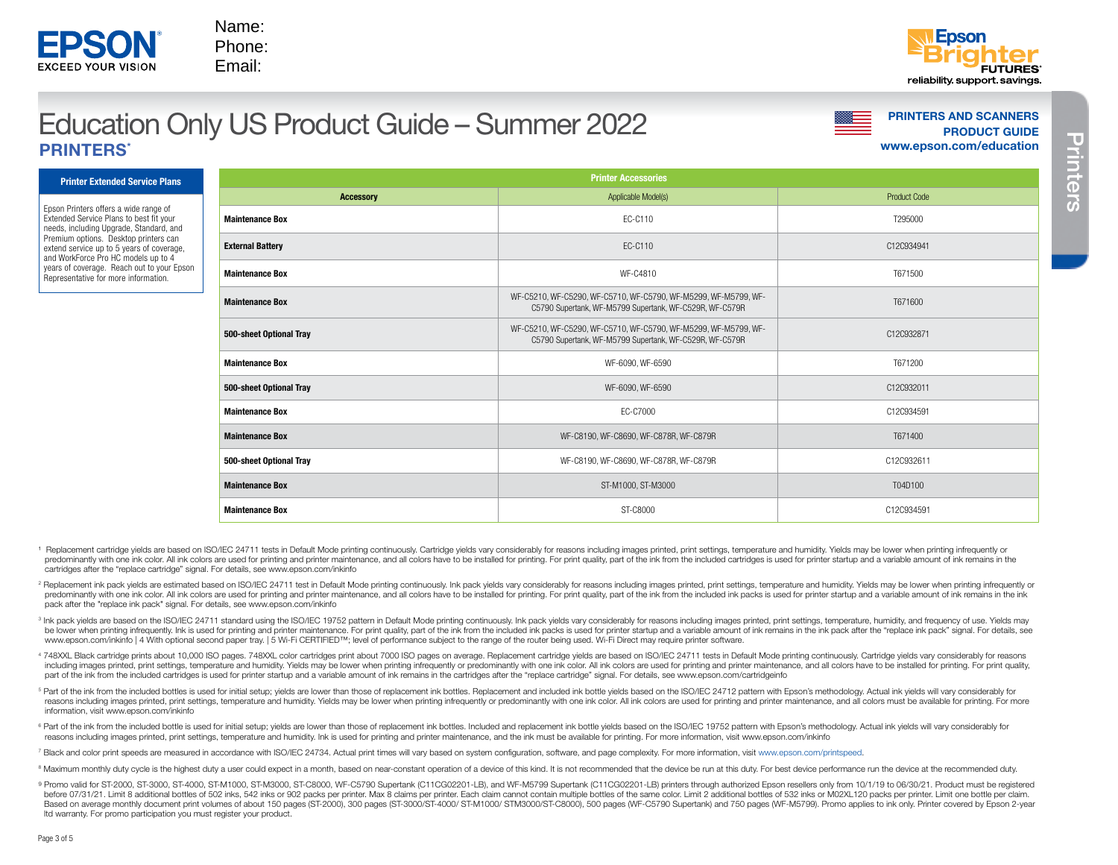

# **PRINTERS AND SCANNERS AND SCANNERS AND SCANNERS AND SCANNERS** PRINTERS\*

Name: Phone: Email:

[www.epson.com/education](http://www.epson.com/education)

Printer Extended Service Plans

**EXCEED YOUR VISION** 

Epson Printers offers a wide range of Extended Service Plans to best fit your needs, including Upgrade, Standard, and Premium options. Desktop printers can extend service up to 5 years of coverage, and WorkForce Pro HC models up to 4 years of coverage. Reach out to your Epson Representative for more information.

| <b>Printer Accessories</b> |                                                                                                                            |                     |  |  |  |  |  |  |  |
|----------------------------|----------------------------------------------------------------------------------------------------------------------------|---------------------|--|--|--|--|--|--|--|
| <b>Accessory</b>           | Applicable Model(s)                                                                                                        | <b>Product Code</b> |  |  |  |  |  |  |  |
| <b>Maintenance Box</b>     | EC-C110                                                                                                                    | T295000             |  |  |  |  |  |  |  |
| <b>External Battery</b>    | EC-C110                                                                                                                    | C12C934941          |  |  |  |  |  |  |  |
| <b>Maintenance Box</b>     | WF-C4810                                                                                                                   | T671500             |  |  |  |  |  |  |  |
| <b>Maintenance Box</b>     | WF-C5210, WF-C5290, WF-C5710, WF-C5790, WF-M5299, WF-M5799, WF-<br>C5790 Supertank, WF-M5799 Supertank, WF-C529R, WF-C579R | T671600             |  |  |  |  |  |  |  |
| 500-sheet Optional Tray    | WF-C5210, WF-C5290, WF-C5710, WF-C5790, WF-M5299, WF-M5799, WF-<br>C5790 Supertank, WF-M5799 Supertank, WF-C529R, WF-C579R | C12C932871          |  |  |  |  |  |  |  |
| <b>Maintenance Box</b>     | WF-6090, WF-6590                                                                                                           | T671200             |  |  |  |  |  |  |  |
| 500-sheet Optional Tray    | WF-6090, WF-6590                                                                                                           | C12C932011          |  |  |  |  |  |  |  |
| <b>Maintenance Box</b>     | EC-C7000                                                                                                                   | C12C934591          |  |  |  |  |  |  |  |
| <b>Maintenance Box</b>     | WF-C8190, WF-C8690, WF-C878R, WF-C879R                                                                                     | T671400             |  |  |  |  |  |  |  |
| 500-sheet Optional Tray    | WF-C8190, WF-C8690, WF-C878R, WF-C879R                                                                                     | C12C932611          |  |  |  |  |  |  |  |
| <b>Maintenance Box</b>     | ST-M1000, ST-M3000                                                                                                         | T04D100             |  |  |  |  |  |  |  |
| <b>Maintenance Box</b>     | ST-C8000                                                                                                                   | C12C934591          |  |  |  |  |  |  |  |

- 1 Replacement cartridge yields are based on ISO/IEC 24711 tests in Default Mode printing continuously. Cartridge yields vary considerably for reasons including images printed, print settings, temperature and humidity. Yiel predominantly with one ink color. All ink colors are used for printing and printer maintenance, and all colors have to be installed for printing. For print quality, part of the ink from the included cartridges is used for cartridges after the "replace cartridge" signal. For details, see www.epson.com/inkinfo
- 2 Replacement ink pack yields are estimated based on ISO/IEC 24711 test in Default Mode printing continuously. Ink pack yields vary considerably for reasons including images printed, print settings, temperature and humidit predominantly with one ink color. All ink colors are used for printing and printer maintenance, and all colors have to be installed for printing. For print quality, part of the ink from the included ink packs is used for p pack after the "replace ink pack" signal. For details, see www.epson.com/inkinfo
- <sup>3</sup> Ink pack yields are based on the ISO/IEC 24711 standard using the ISO/IEC 19752 pattern in Default Mode printing continuously. Ink pack yields vary considerably for reasons including images printed, print settings, tem be lower when printing infrequently. Ink is used for printing and printer maintenance. For print quality, part of the ink from the included ink packs is used for printer startup and a variable amount of ink remains in the www.epson.com/inkinfo | 4 With optional second paper tray. | 5 Wi-Fi CERTIFIED™; level of performance subject to the range of the router being used. Wi-Fi Direct may require printer software.
- 4 748XXL Black cartridge prints about 10,000 ISO pages. 748XXL color cartridges print about 7000 ISO pages on average. Replacement cartridge yields are based on ISO/IEC 24711 tests in Default Mode printing continuously. Ca including images printed, print settings, temperature and humidity. Yields may be lower when printing infrequently or predominantly with one ink color. All ink colors are used for printing and printer maintenance, and all part of the ink from the included cartridges is used for printer startup and a variable amount of ink remains in the cartridges after the "replace cartridge" signal. For details, see www.epson.com/cartridgeinfo
- <sup>5</sup> Part of the ink from the included bottles is used for initial setup; yields are lower than those of replacement ink bottles. Replacement and included ink bottle yields based on the ISO/IEC 24712 pattern with Epson's me reasons including images printed, print settings, temperature and humidity. Yields may be lower when printing infrequently or predominantly with one ink color. All ink colors are used for printing and printer maintenance, information, visit www.epson.com/inkinfo
- <sup>6</sup> Part of the ink from the included bottle is used for initial setup; yields are lower than those of replacement ink bottles. Included and replacement ink bottle yields visual on the ISO/IEC 19752 pattern with Epson's me reasons including images printed, print settings, temperature and humidity. Ink is used for printing and printer maintenance, and the ink must be available for printing. For more information, visit www.epson.com/inkinfo
- <sup>7</sup> Black and color print speeds are measured in accordance with ISO/IEC 24734. Actual print times will vary based on system configuration, software, and page complexity. For more information, visit www.epson.com/printspeed.
- <sup>8</sup> Maximum monthly duty cycle is the highest duty a user could expect in a month, based on near-constant operation of a device of this kind. It is not recommended that the device be run at this duty. For best device perfo
- Promo valid for ST-2000, ST-3000, ST-4000, ST-M1000, ST-M3000, ST-C8000, WF-C5790 Supertank (C11CG02201-LB), and WF-M5799 Supertank (C11CG02201-LB) printers through authorized Epson resellers only from 10/1/19 to 06/30/21. before 07/31/21. Limit 8 additional bottles of 502 inks, 542 inks or 902 packs per printer. Max 8 claims per printer. Each claim cannot contain multiple bottles of the same color. Limit 2 additional bottles of 532 inks or Based on average monthly document print volumes of about 150 pages (ST-2000), 300 pages (ST-2000), 300 pages (ST-3000/ST-4000/ STM1000/ STM3000/ST-C8000), 500 pages (WF-C5790 Supertank) and 750 pages (WF-M5799). Promo appl ltd warranty. For promo participation you must register your product.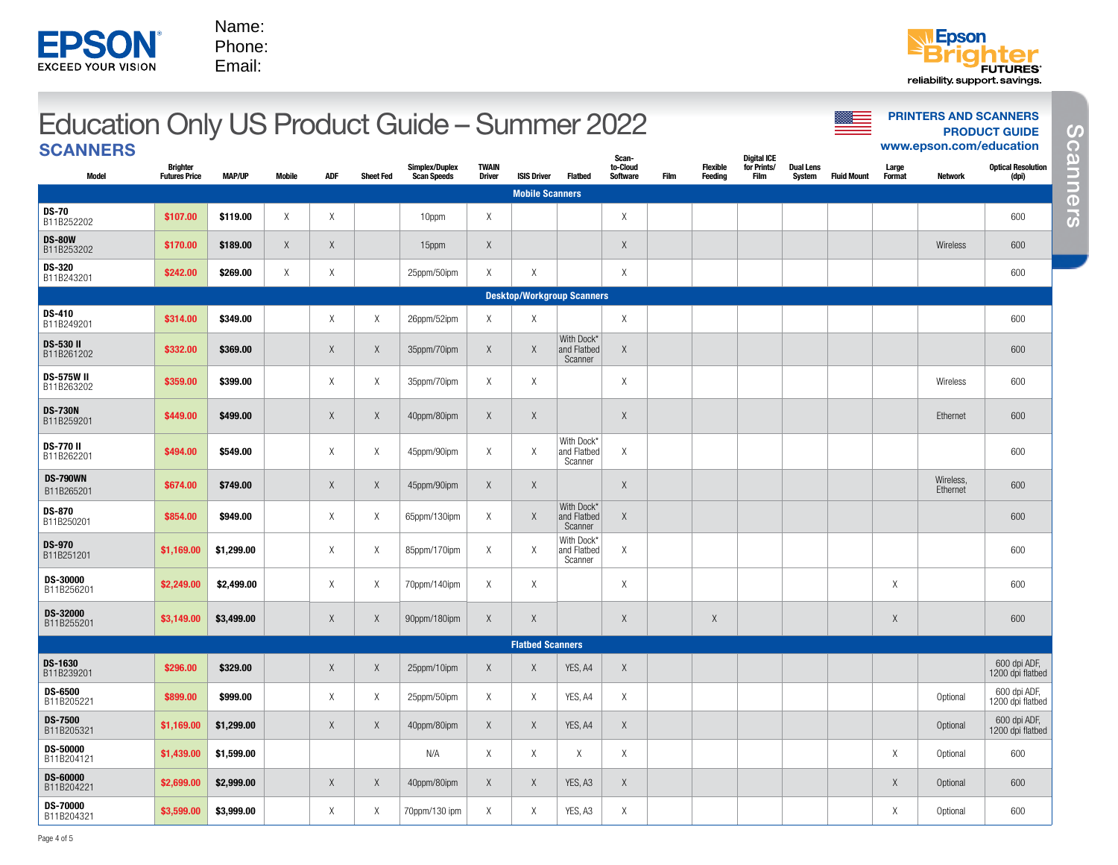| <b>EXCEED YOUR VISION</b> |  |
|---------------------------|--|

Phone: Email:



#### Optional 600 [www.epson.com/education](http://www.epson.com/education) **PRINTERS AND SCANNERS PRINTERS AND SCANNERS SCANNERS** Model **Brighter** Futures Price MAP/UP Mobile ADF Sheet Fed Simplex/Duplex Scan Speeds **TWAIN**<br>Driver ISIS Driver Flatbed Scanto-Cloud Software Film Flexible **Feeding** Digital ICE for Prints/ Film Dual Lens<br>System **Fluid Mount** Large<br>Format **Network** Optical Resolution (dpi) Mobile Scanners **DS-70**<br>B11B252202 B11B252202 \$107.00 \$119.00 X X 10ppm X <sup>X</sup> <sup>600</sup> **DS-80W**<br>B11B253202 **b.**<br>B11B253202 |\$170.00 \$189.00 X X X 1 15ppm X 15ppm X X X 1 15ppm X 1 X 1 15ppm X 15ppm X 1 X 15ppm X X 1 X 1 DS-320 **b3-320**<br>B11B243201 **\$242.00 \$269.00** X X 25ppm/50ipm X X X X X X 600 x 600 x 600 Desktop/Workgroup Scanners **DS-410**<br>B11B249201 <del>DS 41</del>0 \$314.00 \$349.00 X X X 26ppm/52ipm X X X X X X X X X X X X X X X X 600 x 1612-49201 **DS-530 II**<br>B11B261202 B11B261202 \$332.00 \$369.00 X X 35ppm/70ipm X X With Dock\* and Flatbed Scanner  $\mathsf{X}$  and  $\mathsf{X}$  and  $\mathsf{X}$  and  $\mathsf{X}$  are the contract of  $\mathsf{X}$  and  $\mathsf{X}$  are the contract of  $\mathsf{X}$ **DS-575W II**<br>B11B263202 B11B263202 \$359.00 \$399.00 X X 35ppm/70ipm X X <sup>X</sup> Wireless 600 **DS-730N**<br>B11B259201 B11B259201 \$449.00 \$499.00 X X 40ppm/80ipm X X <sup>X</sup> Ethernet 600 **DS-770 II**<br>B11B262201 B11B262201 \$494.00 \$549.00 X X 45ppm/90ipm X X With Dock\* and Flatbed Scanner  $X$   $\qquad$   $\qquad$   $\qquad$   $\qquad$   $\qquad$   $\qquad$   $\qquad$   $\qquad$   $\qquad$   $\qquad$   $\qquad$   $\qquad$   $\qquad$   $\qquad$   $\qquad$   $\qquad$   $\qquad$   $\qquad$   $\qquad$   $\qquad$   $\qquad$   $\qquad$   $\qquad$   $\qquad$   $\qquad$   $\qquad$   $\qquad$   $\qquad$   $\qquad$   $\qquad$   $\qquad$   $\qquad$   $\qquad$   $\qquad$   $\qquad$   $\qquad$  DS-790WN B11B265201 \$674.00 \$749.00 X X 45ppm/90ipm X X <sup>X</sup> Wireless, Wireless, 600<br>Ethernet 600 **DS-870**<br>B11B250201 B11B250201 \$854.00 \$949.00 X X 65ppm/130ipm X X With Dock\* and Flatbed Scanner X 600 DS-970<br>B11B251201 B11B251201 \$1,169.00 \$1,299.00 X X 85ppm/170ipm X X With Dock\* and Flatbed Scanner X 600 DS-30000<br>B11B256201 **B->-3000** \$2,249.00 \$2,499.00 X X X 70ppm/140ipm X X X X X X X 600 X 600 X X X 600 X 600 X 600 X 600 X 600 X 600<br>B11B256201 **DS-32000**<br>B11B255201 B11B255201 \$3,149.00 \$3,499.00 X X 90ppm/180ipm X X <sup>X</sup> <sup>X</sup> <sup>X</sup> <sup>600</sup> Flatbed Scanners **DS-1630**<br>B11B239201 B11B239201 \$296.00 \$329.00 X X 25ppm/10ipm X X YES, A4 <sup>X</sup> 600 dpi ADF, 1200 dpi flatbed **DS-6500**<br>B11B205221 B11B205221 \$899.00 \$999.00 X X 25ppm/50ipm X X YES, A4 <sup>X</sup> Optional 600 dpi ADF, 1200 dpi flatbed **DS-7500**<br>B11B205321 B11B205321 \$1,169.00 \$1,299.00 X X 40ppm/80ipm X X YES, A4 <sup>X</sup> Optional 600 dpi ADF, 1200 dpi flatbed **DS-50000**<br>B11B204121 B11B204121 \$1,439.00 \$1,599.00 N/A X X X X X Optional 600 DS-60000<br>B11B204221 B11B204221 \$2,699.00 \$2,999.00 X X 40ppm/80ipm X X YES, A3 <sup>X</sup> X Optional 600 DS-70000<br>B11B204321 **EPSON**  $\frac{3}{2}$ <br>
ENDROIDION D'AVENT D'AVENT D'AVENT D'AVENT D'AVENT D'AVENT D'AVENT D'AVENT D'AVENT D'AVENT D'AVENT D'AVENT D'AVENT D'AVENT D'AVENT D'AVENT D'AVENT D'AVENT D'AVENT D'AVENT D'AVENT D'AVENT D'AVENT D'AVENT